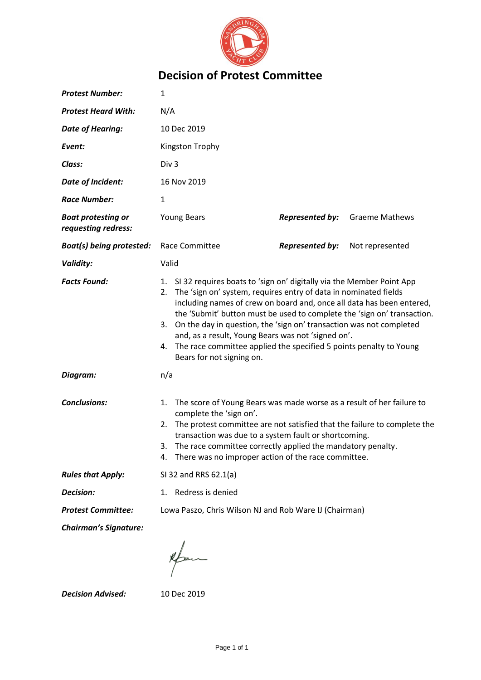

## **Decision of Protest Committee**

| <b>Protest Number:</b>                           | $\mathbf{1}$                                                                                                                                                                                                                                                                                                                                                                                                                                                                                                                                      |                        |                       |  |
|--------------------------------------------------|---------------------------------------------------------------------------------------------------------------------------------------------------------------------------------------------------------------------------------------------------------------------------------------------------------------------------------------------------------------------------------------------------------------------------------------------------------------------------------------------------------------------------------------------------|------------------------|-----------------------|--|
| <b>Protest Heard With:</b>                       | N/A                                                                                                                                                                                                                                                                                                                                                                                                                                                                                                                                               |                        |                       |  |
| <b>Date of Hearing:</b>                          | 10 Dec 2019                                                                                                                                                                                                                                                                                                                                                                                                                                                                                                                                       |                        |                       |  |
| Event:                                           | Kingston Trophy                                                                                                                                                                                                                                                                                                                                                                                                                                                                                                                                   |                        |                       |  |
| Class:                                           | Div <sub>3</sub>                                                                                                                                                                                                                                                                                                                                                                                                                                                                                                                                  |                        |                       |  |
| <b>Date of Incident:</b>                         | 16 Nov 2019                                                                                                                                                                                                                                                                                                                                                                                                                                                                                                                                       |                        |                       |  |
| <b>Race Number:</b>                              | $\mathbf{1}$                                                                                                                                                                                                                                                                                                                                                                                                                                                                                                                                      |                        |                       |  |
| <b>Boat protesting or</b><br>requesting redress: | <b>Young Bears</b>                                                                                                                                                                                                                                                                                                                                                                                                                                                                                                                                | <b>Represented by:</b> | <b>Graeme Mathews</b> |  |
| <b>Boat(s) being protested:</b>                  | Race Committee                                                                                                                                                                                                                                                                                                                                                                                                                                                                                                                                    | <b>Represented by:</b> | Not represented       |  |
| <b>Validity:</b>                                 | Valid                                                                                                                                                                                                                                                                                                                                                                                                                                                                                                                                             |                        |                       |  |
| <b>Facts Found:</b>                              | 1. SI 32 requires boats to 'sign on' digitally via the Member Point App<br>The 'sign on' system, requires entry of data in nominated fields<br>2.<br>including names of crew on board and, once all data has been entered,<br>the 'Submit' button must be used to complete the 'sign on' transaction.<br>On the day in question, the 'sign on' transaction was not completed<br>3.<br>and, as a result, Young Bears was not 'signed on'.<br>The race committee applied the specified 5 points penalty to Young<br>4.<br>Bears for not signing on. |                        |                       |  |
| Diagram:                                         | n/a                                                                                                                                                                                                                                                                                                                                                                                                                                                                                                                                               |                        |                       |  |
| <b>Conclusions:</b>                              | The score of Young Bears was made worse as a result of her failure to<br>1.<br>complete the 'sign on'.<br>The protest committee are not satisfied that the failure to complete the<br>2.<br>transaction was due to a system fault or shortcoming.<br>The race committee correctly applied the mandatory penalty.<br>3.<br>There was no improper action of the race committee.<br>4.                                                                                                                                                               |                        |                       |  |
| <b>Rules that Apply:</b>                         | SI 32 and RRS 62.1(a)                                                                                                                                                                                                                                                                                                                                                                                                                                                                                                                             |                        |                       |  |
| Decision:                                        | Redress is denied<br>1.                                                                                                                                                                                                                                                                                                                                                                                                                                                                                                                           |                        |                       |  |
| <b>Protest Committee:</b>                        | Lowa Paszo, Chris Wilson NJ and Rob Ware IJ (Chairman)                                                                                                                                                                                                                                                                                                                                                                                                                                                                                            |                        |                       |  |
| <b>Chairman's Signature:</b>                     |                                                                                                                                                                                                                                                                                                                                                                                                                                                                                                                                                   |                        |                       |  |

 $\sqrt{\frac{2}{\pi}}$ 

*Decision Advised:* 10 Dec 2019